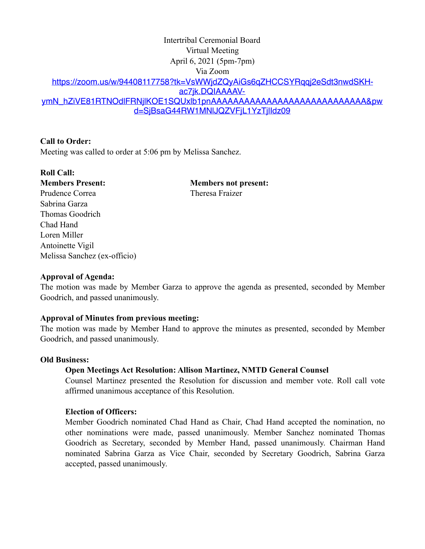# Intertribal Ceremonial Board Virtual Meeting April 6, 2021 (5pm-7pm) Via Zoom [https://zoom.us/w/94408117758?tk=VsWWjdZQyAiGs6qZHCCSYRqqj2eSdt3nwdSKH](https://zoom.us/w/94408117758?tk=VsWWjdZQyAiGs6qZHCCSYRqqj2eSdt3nwdSKH-ac7jk.DQIAAAAV-ymN_hZiVE81RTNOdlFRNjlKOE1SQUxlb1pnAAAAAAAAAAAAAAAAAAAAAAAAAAAA&pwd=SjBsaG44RW1MNlJQZVFjL1YzTjlIdz09)[ac7jk.DQIAAAAV](https://zoom.us/w/94408117758?tk=VsWWjdZQyAiGs6qZHCCSYRqqj2eSdt3nwdSKH-ac7jk.DQIAAAAV-ymN_hZiVE81RTNOdlFRNjlKOE1SQUxlb1pnAAAAAAAAAAAAAAAAAAAAAAAAAAAA&pwd=SjBsaG44RW1MNlJQZVFjL1YzTjlIdz09)[ymN\\_hZiVE81RTNOdlFRNjlKOE1SQUxlb1pnAAAAAAAAAAAAAAAAAAAAAAAAAAAA&pw](https://zoom.us/w/94408117758?tk=VsWWjdZQyAiGs6qZHCCSYRqqj2eSdt3nwdSKH-ac7jk.DQIAAAAV-ymN_hZiVE81RTNOdlFRNjlKOE1SQUxlb1pnAAAAAAAAAAAAAAAAAAAAAAAAAAAA&pwd=SjBsaG44RW1MNlJQZVFjL1YzTjlIdz09) [d=SjBsaG44RW1MNlJQZVFjL1YzTjlIdz09](https://zoom.us/w/94408117758?tk=VsWWjdZQyAiGs6qZHCCSYRqqj2eSdt3nwdSKH-ac7jk.DQIAAAAV-ymN_hZiVE81RTNOdlFRNjlKOE1SQUxlb1pnAAAAAAAAAAAAAAAAAAAAAAAAAAAA&pwd=SjBsaG44RW1MNlJQZVFjL1YzTjlIdz09)

# **Call to Order:**

Meeting was called to order at 5:06 pm by Melissa Sanchez.

# **Roll Call:**

Prudence Correa Theresa Fraizer Sabrina Garza Thomas Goodrich Chad Hand Loren Miller Antoinette Vigil Melissa Sanchez (ex-officio)

**Members Present: Members not present:** 

### **Approval of Agenda:**

The motion was made by Member Garza to approve the agenda as presented, seconded by Member Goodrich, and passed unanimously.

### **Approval of Minutes from previous meeting:**

The motion was made by Member Hand to approve the minutes as presented, seconded by Member Goodrich, and passed unanimously.

### **Old Business:**

# **Open Meetings Act Resolution: Allison Martinez, NMTD General Counsel**

Counsel Martinez presented the Resolution for discussion and member vote. Roll call vote affirmed unanimous acceptance of this Resolution.

### **Election of Officers:**

Member Goodrich nominated Chad Hand as Chair, Chad Hand accepted the nomination, no other nominations were made, passed unanimously. Member Sanchez nominated Thomas Goodrich as Secretary, seconded by Member Hand, passed unanimously. Chairman Hand nominated Sabrina Garza as Vice Chair, seconded by Secretary Goodrich, Sabrina Garza accepted, passed unanimously.